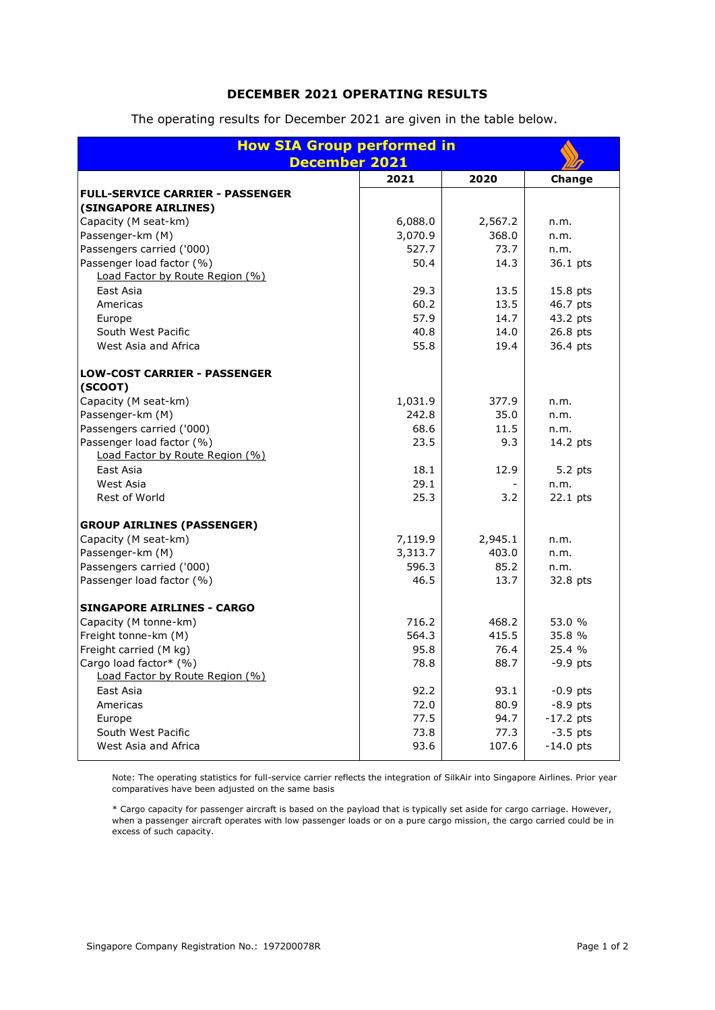## **DECEMBER 2021 OPERATING RESULTS**

The operating results for December 2021 are given in the table below.

| <b>How SIA Group performed in</b><br><b>December 2021</b> |         |         |             |
|-----------------------------------------------------------|---------|---------|-------------|
|                                                           | 2021    | 2020    | Change      |
| <b>FULL-SERVICE CARRIER - PASSENGER</b>                   |         |         |             |
| (SINGAPORE AIRLINES)                                      |         |         |             |
| Capacity (M seat-km)                                      | 6,088.0 | 2,567.2 | n.m.        |
| Passenger-km (M)                                          | 3,070.9 | 368.0   | n.m.        |
| Passengers carried ('000)                                 | 527.7   | 73.7    | n.m.        |
| Passenger load factor (%)                                 | 50.4    | 14.3    | 36.1 pts    |
| Load Factor by Route Region (%)                           |         |         |             |
| East Asia                                                 | 29.3    | 13.5    | 15.8 pts    |
| Americas                                                  | 60.2    | 13.5    | 46.7 pts    |
| Europe                                                    | 57.9    | 14.7    | 43.2 pts    |
| South West Pacific                                        | 40.8    | 14.0    | 26.8 pts    |
| West Asia and Africa                                      | 55.8    | 19.4    | 36.4 pts    |
| <b>LOW-COST CARRIER - PASSENGER</b>                       |         |         |             |
| (SCOOT)                                                   |         |         |             |
| Capacity (M seat-km)                                      | 1,031.9 | 377.9   | n.m.        |
| Passenger-km (M)                                          | 242.8   | 35.0    | n.m.        |
| Passengers carried ('000)                                 | 68.6    | 11.5    | n.m.        |
| Passenger load factor (%)                                 | 23.5    | 9.3     | 14.2 pts    |
| Load Factor by Route Region (%)                           |         |         |             |
| East Asia                                                 | 18.1    | 12.9    | $5.2$ pts   |
| West Asia                                                 | 29.1    |         | n.m.        |
| <b>Rest of World</b>                                      | 25.3    | 3.2     | $22.1$ pts  |
| <b>GROUP AIRLINES (PASSENGER)</b>                         |         |         |             |
| Capacity (M seat-km)                                      | 7,119.9 | 2,945.1 | n.m.        |
| Passenger-km (M)                                          | 3,313.7 | 403.0   | n.m.        |
| Passengers carried ('000)                                 | 596.3   | 85.2    | n.m.        |
| Passenger load factor (%)                                 | 46.5    | 13.7    | 32.8 pts    |
| <b>SINGAPORE AIRLINES - CARGO</b>                         |         |         |             |
| Capacity (M tonne-km)                                     | 716.2   | 468.2   | 53.0 %      |
| Freight tonne-km (M)                                      | 564.3   | 415.5   | 35.8 %      |
| Freight carried (M kg)                                    | 95.8    | 76.4    | 25.4 %      |
| Cargo load factor* (%)                                    | 78.8    | 88.7    | $-9.9$ pts  |
| Load Factor by Route Region (%)                           |         |         |             |
| East Asia                                                 | 92.2    | 93.1    | $-0.9$ pts  |
| Americas                                                  | 72.0    | 80.9    | $-8.9$ pts  |
| Europe                                                    | 77.5    | 94.7    | $-17.2$ pts |
| South West Pacific                                        | 73.8    | 77.3    | $-3.5$ pts  |
| West Asia and Africa                                      | 93.6    | 107.6   | $-14.0$ pts |

Note: The operating statistics for full-service carrier reflects the integration of SilkAir into Singapore Airlines. Prior year comparatives have been adjusted on the same basis

\* Cargo capacity for passenger aircraft is based on the payload that is typically set aside for cargo carriage. However, when a passenger aircraft operates with low passenger loads or on a pure cargo mission, the cargo carried could be in excess of such capacity.